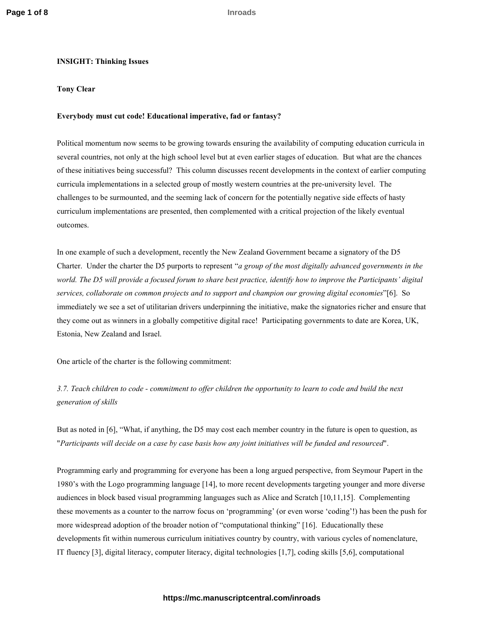# **INSIGHT: Thinking Issues**

# **Tony Clear**

# **Everybody must cut code! Educational imperative, fad or fantasy?**

Political momentum now seems to be growing towards ensuring the availability of computing education curricula in several countries, not only at the high school level but at even earlier stages of education. But what are the chances of these initiatives being successful? This column discusses recent developments in the context of earlier computing curricula implementations in a selected group of mostly western countries at the pre-university level. The challenges to be surmounted, and the seeming lack of concern for the potentially negative side effects of hasty curriculum implementations are presented, then complemented with a critical projection of the likely eventual outcomes.

In one example of such a development, recently the New Zealand Government became a signatory of the D5 Charter. Under the charter the D5 purports to represent "*a group of the most digitally advanced governments in the world. The D5 will provide a focused forum to share best practice, identify how to improve the Participants' digital services, collaborate on common projects and to support and champion our growing digital economies*"[6]. So immediately we see a set of utilitarian drivers underpinning the initiative, make the signatories richer and ensure that they come out as winners in a globally competitive digital race! Participating governments to date are Korea, UK, Estonia, New Zealand and Israel.

One article of the charter is the following commitment:

*3.7. Teach children to code - commitment to offer children the opportunity to learn to code and build the next generation of skills* 

But as noted in [6], "What, if anything, the D5 may cost each member country in the future is open to question, as "*Participants will decide on a case by case basis how any joint initiatives will be funded and resourced*".

Programming early and programming for everyone has been a long argued perspective, from Seymour Papert in the 1980's with the Logo programming language [14], to more recent developments targeting younger and more diverse audiences in block based visual programming languages such as Alice and Scratch [10,11,15]. Complementing these movements as a counter to the narrow focus on 'programming' (or even worse 'coding'!) has been the push for more widespread adoption of the broader notion of "computational thinking" [16]. Educationally these developments fit within numerous curriculum initiatives country by country, with various cycles of nomenclature, IT fluency [3], digital literacy, computer literacy, digital technologies [1,7], coding skills [5,6], computational

## **https://mc.manuscriptcentral.com/inroads**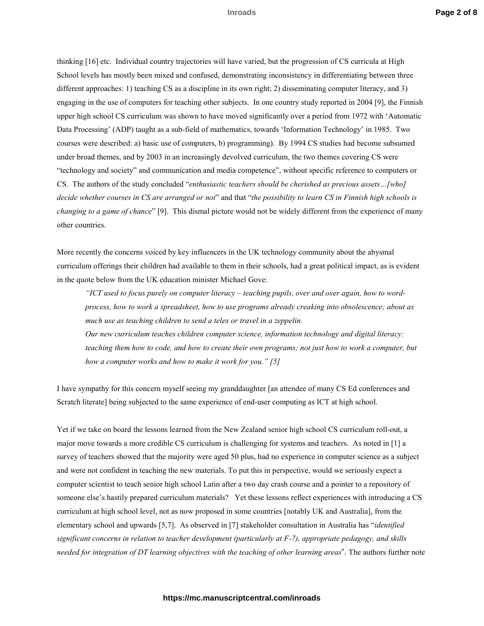thinking [16] etc. Individual country trajectories will have varied, but the progression of CS curricula at High School levels has mostly been mixed and confused, demonstrating inconsistency in differentiating between three different approaches: 1) teaching CS as a discipline in its own right; 2) disseminating computer literacy, and 3) engaging in the use of computers for teaching other subjects. In one country study reported in 2004 [9], the Finnish upper high school CS curriculum was shown to have moved significantly over a period from 1972 with 'Automatic Data Processing' (ADP) taught as a sub-field of mathematics, towards 'Information Technology' in 1985. Two courses were described: a) basic use of computers, b) programming). By 1994 CS studies had become subsumed under broad themes, and by 2003 in an increasingly devolved curriculum, the two themes covering CS were "technology and society" and communication and media competence", without specific reference to computers or CS. The authors of the study concluded "*enthusiastic teachers should be cherished as precious assets…[who] decide whether courses in CS are arranged or not*" and that "*the possibility to learn CS in Finnish high schools is changing to a game of chance*" [9]. This dismal picture would not be widely different from the experience of many other countries.

More recently the concerns voiced by key influencers in the UK technology community about the abysmal curriculum offerings their children had available to them in their schools, had a great political impact, as is evident in the quote below from the UK education minister Michael Gove:

*"ICT used to focus purely on computer literacy – teaching pupils, over and over again, how to wordprocess, how to work a spreadsheet, how to use programs already creaking into obsolescence; about as much use as teaching children to send a telex or travel in a zeppelin. Our new curriculum teaches children computer science, information technology and digital literacy:* 

*teaching them how to code, and how to create their own programs; not just how to work a computer, but how a computer works and how to make it work for you." [5]* 

I have sympathy for this concern myself seeing my granddaughter [an attendee of many CS Ed conferences and Scratch literate] being subjected to the same experience of end-user computing as ICT at high school.

Yet if we take on board the lessons learned from the New Zealand senior high school CS curriculum roll-out, a major move towards a more credible CS curriculum is challenging for systems and teachers. As noted in [1] a survey of teachers showed that the majority were aged 50 plus, had no experience in computer science as a subject and were not confident in teaching the new materials. To put this in perspective, would we seriously expect a computer scientist to teach senior high school Latin after a two day crash course and a pointer to a repository of someone else's hastily prepared curriculum materials? Yet these lessons reflect experiences with introducing a CS curriculum at high school level, not as now proposed in some countries [notably UK and Australia], from the elementary school and upwards [5,7]. As observed in [7] stakeholder consultation in Australia has "*identified significant concerns in relation to teacher development (particularly at F-7), appropriate pedagogy, and skills needed for integration of DT learning objectives with the teaching of other learning areas*". The authors further note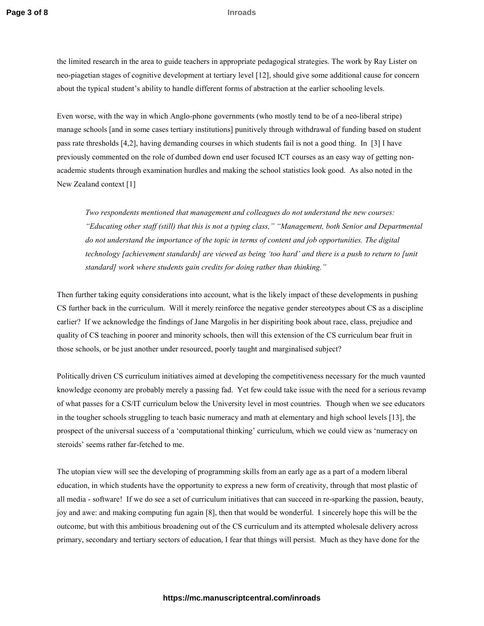the limited research in the area to guide teachers in appropriate pedagogical strategies. The work by Ray Lister on neo-piagetian stages of cognitive development at tertiary level [12], should give some additional cause for concern about the typical student's ability to handle different forms of abstraction at the earlier schooling levels.

Even worse, with the way in which Anglo-phone governments (who mostly tend to be of a neo-liberal stripe) manage schools [and in some cases tertiary institutions] punitively through withdrawal of funding based on student pass rate thresholds [4,2], having demanding courses in which students fail is not a good thing. In [3] I have previously commented on the role of dumbed down end user focused ICT courses as an easy way of getting nonacademic students through examination hurdles and making the school statistics look good. As also noted in the New Zealand context [1]

*Two respondents mentioned that management and colleagues do not understand the new courses: "Educating other staff (still) that this is not a typing class," "Management, both Senior and Departmental do not understand the importance of the topic in terms of content and job opportunities. The digital technology [achievement standards] are viewed as being 'too hard' and there is a push to return to [unit standard] work where students gain credits for doing rather than thinking."* 

Then further taking equity considerations into account, what is the likely impact of these developments in pushing CS further back in the curriculum. Will it merely reinforce the negative gender stereotypes about CS as a discipline earlier? If we acknowledge the findings of Jane Margolis in her dispiriting book about race, class, prejudice and quality of CS teaching in poorer and minority schools, then will this extension of the CS curriculum bear fruit in those schools, or be just another under resourced, poorly taught and marginalised subject?

Politically driven CS curriculum initiatives aimed at developing the competitiveness necessary for the much vaunted knowledge economy are probably merely a passing fad. Yet few could take issue with the need for a serious revamp of what passes for a CS/IT curriculum below the University level in most countries. Though when we see educators in the tougher schools struggling to teach basic numeracy and math at elementary and high school levels [13], the prospect of the universal success of a 'computational thinking' curriculum, which we could view as 'numeracy on steroids' seems rather far-fetched to me.

The utopian view will see the developing of programming skills from an early age as a part of a modern liberal education, in which students have the opportunity to express a new form of creativity, through that most plastic of all media - software! If we do see a set of curriculum initiatives that can succeed in re-sparking the passion, beauty, joy and awe: and making computing fun again [8], then that would be wonderful. I sincerely hope this will be the outcome, but with this ambitious broadening out of the CS curriculum and its attempted wholesale delivery across primary, secondary and tertiary sectors of education, I fear that things will persist. Much as they have done for the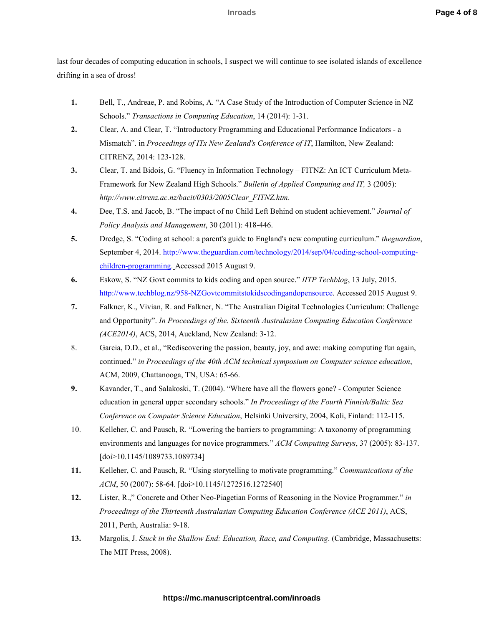last four decades of computing education in schools, I suspect we will continue to see isolated islands of excellence drifting in a sea of dross!

- **1.** Bell, T., Andreae, P. and Robins, A. "A Case Study of the Introduction of Computer Science in NZ Schools." *Transactions in Computing Education*, 14 (2014): 1-31.
- **2.** Clear, A. and Clear, T. "Introductory Programming and Educational Performance Indicators a Mismatch". in *Proceedings of ITx New Zealand's Conference of IT*, Hamilton, New Zealand: CITRENZ, 2014: 123-128.
- **3.** Clear, T. and Bidois, G. "Fluency in Information Technology FITNZ: An ICT Curriculum Meta-Framework for New Zealand High Schools." *Bulletin of Applied Computing and IT,* 3 (2005): *http://www.citrenz.ac.nz/bacit/0303/2005Clear\_FITNZ.htm*.
- **4.** Dee, T.S. and Jacob, B. "The impact of no Child Left Behind on student achievement." *Journal of Policy Analysis and Management*, 30 (2011): 418-446.
- **5.** Dredge, S. "Coding at school: a parent's guide to England's new computing curriculum." *theguardian*, September 4, 2014. http://www.theguardian.com/technology/2014/sep/04/coding-school-computingchildren-programming. Accessed 2015 August 9.
- **6.** Eskow, S. "NZ Govt commits to kids coding and open source." *IITP Techblog*, 13 July, 2015. http://www.techblog.nz/958-NZGovtcommitstokidscodingandopensource. Accessed 2015 August 9.
- **7.** Falkner, K., Vivian, R. and Falkner, N. "The Australian Digital Technologies Curriculum: Challenge and Opportunity". *In Proceedings of the. Sixteenth Australasian Computing Education Conference (ACE2014)*, ACS, 2014, Auckland, New Zealand: 3-12.
- 8. Garcia, D.D., et al., "Rediscovering the passion, beauty, joy, and awe: making computing fun again, continued." *in Proceedings of the 40th ACM technical symposium on Computer science education*, ACM, 2009, Chattanooga, TN, USA: 65-66.
- **9.** Kavander, T., and Salakoski, T. (2004). "Where have all the flowers gone? Computer Science education in general upper secondary schools." *In Proceedings of the Fourth Finnish/Baltic Sea Conference on Computer Science Education*, Helsinki University, 2004, Koli, Finland: 112-115.
- 10. Kelleher, C. and Pausch, R. "Lowering the barriers to programming: A taxonomy of programming environments and languages for novice programmers." *ACM Computing Surveys*, 37 (2005): 83-137. [doi>10.1145/1089733.1089734]
- **11.** Kelleher, C. and Pausch, R. "Using storytelling to motivate programming." *Communications of the ACM*, 50 (2007): 58-64. [doi>10.1145/1272516.1272540]
- **12.** Lister, R.," Concrete and Other Neo-Piagetian Forms of Reasoning in the Novice Programmer." *in Proceedings of the Thirteenth Australasian Computing Education Conference (ACE 2011)*, ACS, 2011, Perth, Australia: 9-18.
- **13.** Margolis, J. *Stuck in the Shallow End: Education, Race, and Computing*. (Cambridge, Massachusetts: The MIT Press, 2008).

# **https://mc.manuscriptcentral.com/inroads**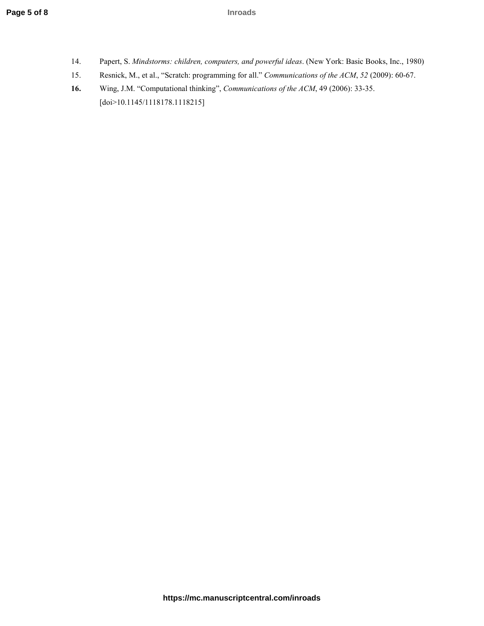- 14. Papert, S. *Mindstorms: children, computers, and powerful ideas*. (New York: Basic Books, Inc., 1980)
- 15. Resnick, M., et al., "Scratch: programming for all." *Communications of the ACM*, *52* (2009): 60-67.
- **16.** Wing, J.M. "Computational thinking", *Communications of the ACM*, 49 (2006): 33-35. [doi>10.1145/1118178.1118215]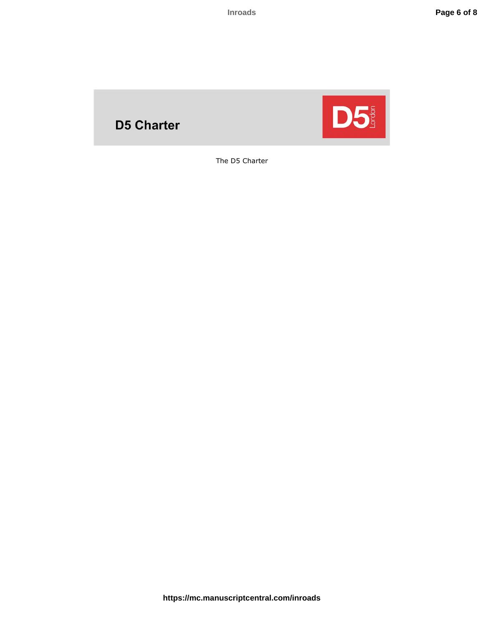# **D5 Charter**



The D5 Charter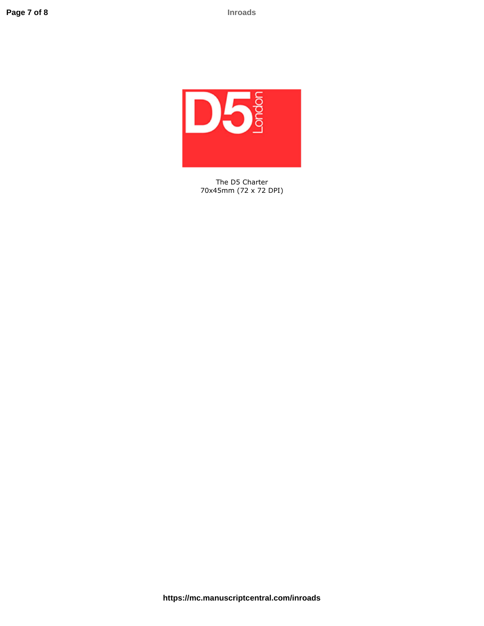

The D5 Charter 70x45mm (72 x 72 DPI)